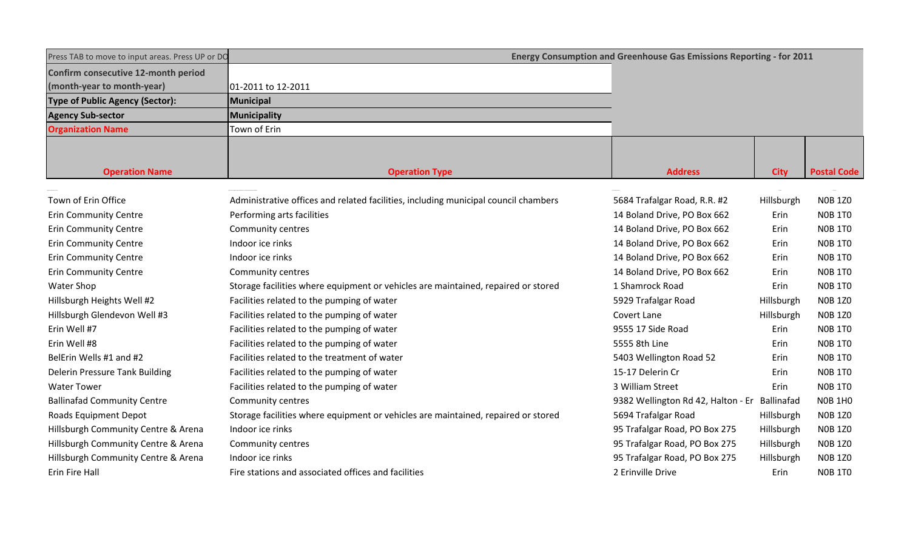| Press TAB to move to input areas. Press UP or DO | Energy Consumption and Greenhouse Gas Emissions Reporting - for 2011                |                                    |             |                    |  |  |  |  |  |
|--------------------------------------------------|-------------------------------------------------------------------------------------|------------------------------------|-------------|--------------------|--|--|--|--|--|
| Confirm consecutive 12-month period              |                                                                                     |                                    |             |                    |  |  |  |  |  |
| (month-year to month-year)                       | 01-2011 to 12-2011                                                                  |                                    |             |                    |  |  |  |  |  |
| <b>Type of Public Agency (Sector):</b>           | Municipal                                                                           |                                    |             |                    |  |  |  |  |  |
| <b>Agency Sub-sector</b>                         | Municipality                                                                        |                                    |             |                    |  |  |  |  |  |
| <b>Organization Name</b>                         | Town of Erin                                                                        |                                    |             |                    |  |  |  |  |  |
|                                                  |                                                                                     |                                    |             |                    |  |  |  |  |  |
| <b>Operation Name</b>                            | <b>Operation Type</b>                                                               | <b>Address</b>                     | <b>City</b> | <b>Postal Code</b> |  |  |  |  |  |
|                                                  |                                                                                     |                                    |             |                    |  |  |  |  |  |
| Town of Erin Office                              | Administrative offices and related facilities, including municipal council chambers | 5684 Trafalgar Road, R.R. #2       | Hillsburgh  | <b>NOB 1Z0</b>     |  |  |  |  |  |
| <b>Erin Community Centre</b>                     | Performing arts facilities                                                          | 14 Boland Drive, PO Box 662        | Erin        | <b>NOB 1TO</b>     |  |  |  |  |  |
| <b>Erin Community Centre</b>                     | Community centres                                                                   | 14 Boland Drive, PO Box 662        | Erin        | <b>NOB 1TO</b>     |  |  |  |  |  |
| <b>Erin Community Centre</b>                     | Indoor ice rinks                                                                    | 14 Boland Drive, PO Box 662        | Erin        | <b>NOB 1TO</b>     |  |  |  |  |  |
| <b>Erin Community Centre</b>                     | Indoor ice rinks                                                                    | 14 Boland Drive, PO Box 662        | Erin        | <b>NOB 1TO</b>     |  |  |  |  |  |
| <b>Erin Community Centre</b>                     | Community centres                                                                   | 14 Boland Drive, PO Box 662        | Erin        | <b>NOB 1TO</b>     |  |  |  |  |  |
| <b>Water Shop</b>                                | Storage facilities where equipment or vehicles are maintained, repaired or stored   | 1 Shamrock Road                    | Erin        | <b>NOB 1TO</b>     |  |  |  |  |  |
| Hillsburgh Heights Well #2                       | Facilities related to the pumping of water                                          | 5929 Trafalgar Road                | Hillsburgh  | <b>NOB 1Z0</b>     |  |  |  |  |  |
| Hillsburgh Glendevon Well #3                     | Facilities related to the pumping of water                                          | Covert Lane                        | Hillsburgh  | <b>NOB 1Z0</b>     |  |  |  |  |  |
| Erin Well #7                                     | Facilities related to the pumping of water                                          | 9555 17 Side Road                  | Erin        | <b>NOB 1TO</b>     |  |  |  |  |  |
| Erin Well #8                                     | Facilities related to the pumping of water                                          | 5555 8th Line                      | Erin        | <b>NOB 1TO</b>     |  |  |  |  |  |
| BelErin Wells #1 and #2                          | Facilities related to the treatment of water                                        | 5403 Wellington Road 52            | Erin        | <b>NOB 1TO</b>     |  |  |  |  |  |
| <b>Delerin Pressure Tank Building</b>            | Facilities related to the pumping of water                                          | 15-17 Delerin Cr                   | Erin        | <b>NOB 1TO</b>     |  |  |  |  |  |
| <b>Water Tower</b>                               | Facilities related to the pumping of water                                          | 3 William Street                   | Erin        | <b>NOB 1TO</b>     |  |  |  |  |  |
| <b>Ballinafad Community Centre</b>               | Community centres                                                                   | 9382 Wellington Rd 42, Halton - Er | Ballinafad  | <b>N0B 1H0</b>     |  |  |  |  |  |
| Roads Equipment Depot                            | Storage facilities where equipment or vehicles are maintained, repaired or stored   | 5694 Trafalgar Road                | Hillsburgh  | <b>NOB 1Z0</b>     |  |  |  |  |  |
| Hillsburgh Community Centre & Arena              | Indoor ice rinks                                                                    | 95 Trafalgar Road, PO Box 275      | Hillsburgh  | <b>NOB 1Z0</b>     |  |  |  |  |  |
| Hillsburgh Community Centre & Arena              | Community centres                                                                   | 95 Trafalgar Road, PO Box 275      | Hillsburgh  | <b>NOB 1Z0</b>     |  |  |  |  |  |
| Hillsburgh Community Centre & Arena              | Indoor ice rinks                                                                    | 95 Trafalgar Road, PO Box 275      | Hillsburgh  | <b>NOB 1Z0</b>     |  |  |  |  |  |
| <b>Erin Fire Hall</b>                            | Fire stations and associated offices and facilities                                 | 2 Erinville Drive                  | Erin        | <b>NOB 1TO</b>     |  |  |  |  |  |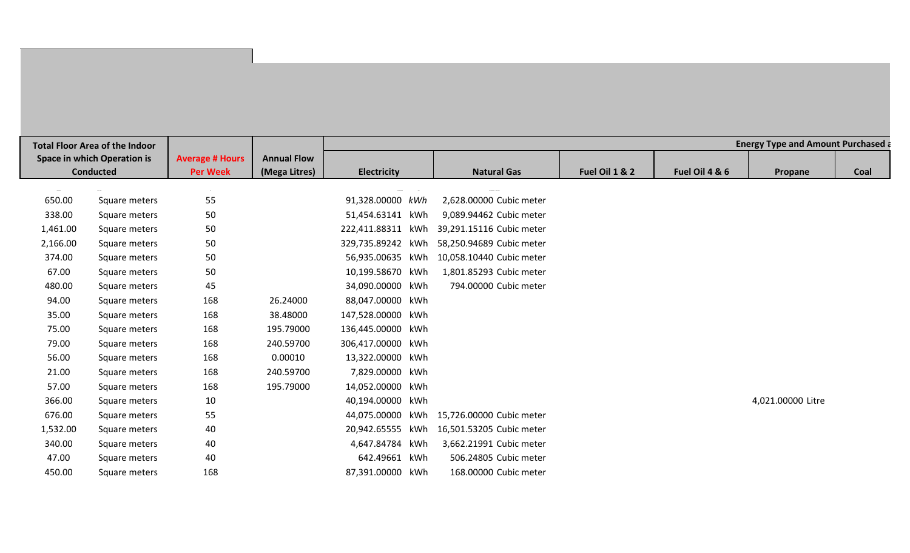| <b>Total Floor Area of the Indoor</b> |               |                        |                    | <b>Energy Type and Amount Purchased a</b> |     |                          |                |                |                   |      |  |  |
|---------------------------------------|---------------|------------------------|--------------------|-------------------------------------------|-----|--------------------------|----------------|----------------|-------------------|------|--|--|
| <b>Space in which Operation is</b>    |               | <b>Average # Hours</b> | <b>Annual Flow</b> |                                           |     |                          |                |                |                   |      |  |  |
| <b>Conducted</b>                      |               | <b>Per Week</b>        | (Mega Litres)      | <b>Electricity</b>                        |     | <b>Natural Gas</b>       | Fuel Oil 1 & 2 | Fuel Oil 4 & 6 | Propane           | Coal |  |  |
|                                       |               |                        |                    |                                           |     |                          |                |                |                   |      |  |  |
| 650.00                                | Square meters | 55                     |                    | 91,328.00000 kWh                          |     | 2,628.00000 Cubic meter  |                |                |                   |      |  |  |
| 338.00                                | Square meters | 50                     |                    | 51,454.63141 kWh                          |     | 9,089.94462 Cubic meter  |                |                |                   |      |  |  |
| 1,461.00                              | Square meters | 50                     |                    | 222,411.88311 kWh                         |     | 39,291.15116 Cubic meter |                |                |                   |      |  |  |
| 2,166.00                              | Square meters | 50                     |                    | 329,735.89242 kWh                         |     | 58,250.94689 Cubic meter |                |                |                   |      |  |  |
| 374.00                                | Square meters | 50                     |                    | 56,935.00635 kWh                          |     | 10,058.10440 Cubic meter |                |                |                   |      |  |  |
| 67.00                                 | Square meters | 50                     |                    | 10,199.58670 kWh                          |     | 1,801.85293 Cubic meter  |                |                |                   |      |  |  |
| 480.00                                | Square meters | 45                     |                    | 34,090.00000                              | kWh | 794.00000 Cubic meter    |                |                |                   |      |  |  |
| 94.00                                 | Square meters | 168                    | 26.24000           | 88,047.00000 kWh                          |     |                          |                |                |                   |      |  |  |
| 35.00                                 | Square meters | 168                    | 38.48000           | 147,528.00000 kWh                         |     |                          |                |                |                   |      |  |  |
| 75.00                                 | Square meters | 168                    | 195.79000          | 136,445.00000 kWh                         |     |                          |                |                |                   |      |  |  |
| 79.00                                 | Square meters | 168                    | 240.59700          | 306,417.00000 kWh                         |     |                          |                |                |                   |      |  |  |
| 56.00                                 | Square meters | 168                    | 0.00010            | 13,322.00000                              | kWh |                          |                |                |                   |      |  |  |
| 21.00                                 | Square meters | 168                    | 240.59700          | 7,829.00000                               | kWh |                          |                |                |                   |      |  |  |
| 57.00                                 | Square meters | 168                    | 195.79000          | 14,052.00000                              | kWh |                          |                |                |                   |      |  |  |
| 366.00                                | Square meters | 10                     |                    | 40,194.00000 kWh                          |     |                          |                |                | 4,021.00000 Litre |      |  |  |
| 676.00                                | Square meters | 55                     |                    | 44,075.00000                              | kWh | 15,726.00000 Cubic meter |                |                |                   |      |  |  |
| 1,532.00                              | Square meters | 40                     |                    | 20,942.65555 kWh                          |     | 16,501.53205 Cubic meter |                |                |                   |      |  |  |
| 340.00                                | Square meters | 40                     |                    | 4,647.84784                               | kWh | 3,662.21991 Cubic meter  |                |                |                   |      |  |  |
| 47.00                                 | Square meters | 40                     |                    | 642.49661                                 | kWh | 506.24805 Cubic meter    |                |                |                   |      |  |  |
| 450.00                                | Square meters | 168                    |                    | 87,391.00000 kWh                          |     | 168.00000 Cubic meter    |                |                |                   |      |  |  |